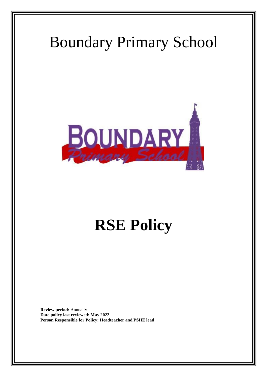# Boundary Primary School



# **RSE Policy**

**Review period:** Annually **Date policy last reviewed: May 2022 Person Responsible for Policy: Headteacher and PSHE lead**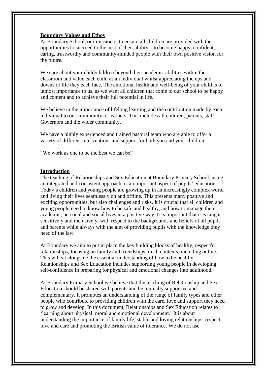## **Boundary Values and Ethos**

At Boundary School, our mission is to ensure all children are provided with the opportunities to succeed to the best of their ability – to become happy, confident, caring, trustworthy and community-minded people with their own positive vision for the future.

We care about your child/children beyond their academic abilities within the classroom and value each child as an individual whilst appreciating the ups and downs of life they each face. The emotional health and well-being of your child is of utmost importance to us, as we want all children that come to our school to be happy and content and to achieve their full potential in life.

We believe in the importance of lifelong learning and the contribution made by each individual to our community of learners. This includes all children, parents, staff, Governors and the wider community.

We have a highly experienced and trained pastoral team who are able to offer a variety of different interventions and support for both you and your children.

"We work as one to be the best we can be"

#### **Introduction**

The teaching of Relationships and Sex Education at Boundary Primary School, using an integrated and consistent approach, is an important aspect of pupils' education. Today's children and young people are growing up in an increasingly complex world and living their lives seamlessly on and offline. This presents many positive and exciting opportunities, but also challenges and risks. It is crucial that all children and young people need to know how to be safe and healthy, and how to manage their academic, personal and social lives in a positive way. It is important that it is taught sensitively and inclusively, with respect to the backgrounds and beliefs of all pupils and parents while always with the aim of providing pupils with the knowledge they need of the law.

At Boundary we aim to put in place the key building blocks of healthy, respectful relationships, focusing on family and friendships, in all contexts, including online. This will sit alongside the essential understanding of how to be healthy. Relationships and Sex Education includes supporting young people in developing self-confidence in preparing for physical and emotional changes into adulthood.

At Boundary Primary School we believe that the teaching of Relationship and Sex Education should be shared with parents and be mutually supportive and complementary. It promotes an understanding of the range of family types and other people who contribute to providing children with the care, love and support they need to grow and develop. In this document, Relationships and Sex Education relates to 'learning about physical, moral and emotional development.' It is about understanding the importance of family life, stable and loving relationships, respect, love and care and promoting the British value of tolerance. We do not use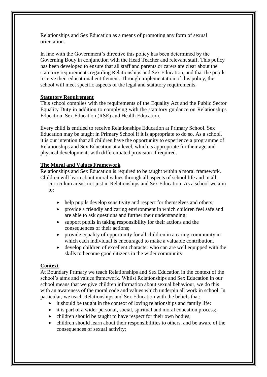Relationships and Sex Education as a means of promoting any form of sexual orientation.

In line with the Government's directive this policy has been determined by the Governing Body in conjunction with the Head Teacher and relevant staff. This policy has been developed to ensure that all staff and parents or carers are clear about the statutory requirements regarding Relationships and Sex Education, and that the pupils receive their educational entitlement. Through implementation of this policy, the school will meet specific aspects of the legal and statutory requirements.

## **Statutory Requirement**

This school complies with the requirements of the Equality Act and the Public Sector Equality Duty in addition to complying with the statutory guidance on Relationships Education, Sex Education (RSE) and Health Education.

Every child is entitled to receive Relationships Education at Primary School. Sex Education may be taught in Primary School if it is appropriate to do so. As a school, it is our intention that all children have the opportunity to experience a programme of Relationships and Sex Education at a level, which is appropriate for their age and physical development, with differentiated provision if required.

## **The Moral and Values Framework**

Relationships and Sex Education is required to be taught within a moral framework. Children will learn about moral values through all aspects of school life and in all curriculum areas, not just in Relationships and Sex Education. As a school we aim

to:

- help pupils develop sensitivity and respect for themselves and others;
- provide a friendly and caring environment in which children feel safe and are able to ask questions and further their understanding;
- support pupils in taking responsibility for their actions and the consequences of their actions;
- provide equality of opportunity for all children in a caring community in which each individual is encouraged to make a valuable contribution.
- develop children of excellent character who can are well equipped with the skills to become good citizens in the wider community.

#### **Context**

At Boundary Primary we teach Relationships and Sex Education in the context of the school's aims and values framework. Whilst Relationships and Sex Education in our school means that we give children information about sexual behaviour, we do this with an awareness of the moral code and values which underpin all work in school. In particular, we teach Relationships and Sex Education with the beliefs that:

- it should be taught in the context of loving relationships and family life;
- it is part of a wider personal, social, spiritual and moral education process;
- children should be taught to have respect for their own bodies;
- children should learn about their responsibilities to others, and be aware of the consequences of sexual activity;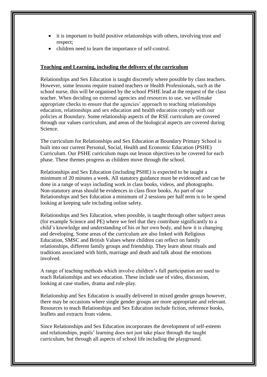- it is important to build positive relationships with others, involving trust and respect;
- children need to learn the importance of self-control.

### **Teaching and Learning, including the delivery of the curriculum**

Relationships and Sex Education is taught discretely where possible by class teachers. However, some lessons require trained teachers or Health Professionals, such as the school nurse, this will be organised by the school PSHE lead at the request of the class teacher. When deciding on external agencies and resources to use, we willmake appropriate checks to ensure that the agencies' approach to teaching relationships education, relationships and sex education and health education comply with our policies at Boundary. Some relationship aspects of the RSE curriculum are covered through our values curriculum, and areas of the biological aspects are covered during Science.

The curriculum for Relationships and Sex Education at Boundary Primary School is built into our current Personal, Social, Health and Economic Education (PSHE) Curriculum. Our PSHE curriculum maps out lesson objectives to be covered for each phase. These themes progress as children move through the school.

Relationships and Sex Education (including PSHE) is expected to be taught a minimum of 20 minutes a week. All statutory guidance must be evidenced and can be done in a range of ways including work in class books, videos, and photographs. Non-statutory areas should be evidences in class floor books. As part of our Relationships and Sex Education a minimum of 2 sessions per half term is to be spend looking at keeping safe including online safety.

Relationships and Sex Education, when possible, is taught through other subject areas (for example Science and PE) where we feel that they contribute significantly to a child's knowledge and understanding of his or her own body, and how it is changing and developing. Some areas of the curriculum are also linked with Religious Education, SMSC and British Values where children can reflect on family relationships, different family groups and friendship. They learn about rituals and traditions associated with birth, marriage and death and talk about the emotions involved.

A range of teaching methods which involve children's full participation are used to teach Relationships and sex education. These include use of video, discussion, looking at case studies, drama and role-play.

Relationship and Sex Education is usually delivered in mixed gender groups however, there may be occasions where single gender groups are more appropriate and relevant. Resources to teach Relationships and Sex Education include fiction, reference books, leaflets and extracts from videos.

Since Relationships and Sex Education incorporates the development of self-esteem and relationships, pupils' learning does not just take place through the taught curriculum, but through all aspects of school life including the playground.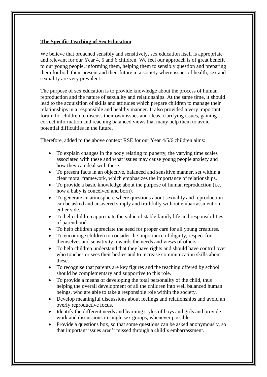### **The Specific Teaching of Sex Education**

We believe that broached sensibly and sensitively, sex education itself is appropriate and relevant for our Year 4, 5 and 6 children. We feel our approach is of great benefit to our young people, informing them, helping them to sensibly question and preparing them for both their present and their future in a society where issues of health, sex and sexuality are very prevalent.

The purpose of sex education is to provide knowledge about the process of human reproduction and the nature of sexuality and relationships. At the same time, it should lead to the acquisition of skills and attitudes which prepare children to manage their relationships in a responsible and healthy manner. It also provided a very important forum for children to discuss their own issues and ideas, clarifying issues, gaining correct information and reaching balanced views that many help them to avoid potential difficulties in the future.

Therefore, added to the above context RSE for our Year 4/5/6 children aims:

- To explain changes in the body relating to puberty, the varying time scales associated with these and what issues may cause young people anxiety and how they can deal with these.
- To present facts in an objective, balanced and sensitive manner, set within a clear moral framework, which emphasizes the importance of relationships.
- To provide a basic knowledge about the purpose of human reproduction (i.e. how a baby is conceived and born).
- To generate an atmosphere where questions about sexuality and reproduction can be asked and answered simply and truthfully without embarrassment on either side.
- To help children appreciate the value of stable family life and responsibilities of parenthood.
- To help children appreciate the need for proper care for all young creatures.
- To encourage children to consider the importance of dignity, respect for themselves and sensitivity towards the needs and views of others.
- To help children understand that they have rights and should have control over who touches or sees their bodies and to increase communication skills about these.
- To recognise that parents are key figures and the teaching offered by school should be complementary and supportive to this role.
- To provide a means of developing the total personality of the child, thus helping the overall development of all the children into well balanced human beings, who are able to take a responsible role within the society.
- Develop meaningful discussions about feelings and relationships and avoid an overly reproductive focus.
- Identify the different needs and learning styles of boys and girls and provide work and discussions in single sex groups, whenever possible.
- Provide a questions box, so that some questions can be asked anonymously, so that important issues aren't missed through a child's embarrassment.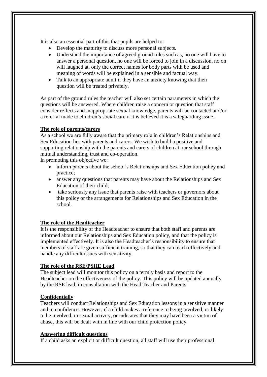It is also an essential part of this that pupils are helped to:

- Develop the maturity to discuss more personal subjects.
- Understand the importance of agreed ground rules such as, no one will have to answer a personal question, no one will be forced to join in a discussion, no on will laughed at, only the correct names for body parts with be used and meaning of words will be explained in a sensible and factual way.
- Talk to an appropriate adult if they have an anxiety knowing that their question will be treated privately.

As part of the ground rules the teacher will also set certain parameters in which the questions will be answered. Where children raise a concern or question that staff consider reflects and inappropriate sexual knowledge, parents will be contacted and/or a referral made to children's social care if it is believed it is a safeguarding issue.

## **The role of parents/carers**

As a school we are fully aware that the primary role in children's Relationships and Sex Education lies with parents and carers. We wish to build a positive and supporting relationship with the parents and carers of children at our school through mutual understanding, trust and co-operation.

In promoting this objective we:

- inform parents about the school's Relationships and Sex Education policy and practice;
- answer any questions that parents may have about the Relationships and Sex Education of their child;
- take seriously any issue that parents raise with teachers or governors about this policy or the arrangements for Relationships and Sex Education in the school.

# **The role of the Headteacher**

It is the responsibility of the Headteacher to ensure that both staff and parents are informed about our Relationships and Sex Education policy, and that the policy is implemented effectively. It is also the Headteacher's responsibility to ensure that members of staff are given sufficient training, so that they can teach effectively and handle any difficult issues with sensitivity.

## **The role of the RSE/PSHE Lead**

The subject lead will monitor this policy on a termly basis and report to the Headteacher on the effectiveness of the policy. This policy will be updated annually by the RSE lead, in consultation with the Head Teacher and Parents.

# **Confidentially**

Teachers will conduct Relationships and Sex Education lessons in a sensitive manner and in confidence. However, if a child makes a reference to being involved, or likely to be involved, in sexual activity, or indicates that they may have been a victim of abuse, this will be dealt with in line with our child protection policy.

## **Answering difficult questions**

If a child asks an explicit or difficult question, all staff will use their professional